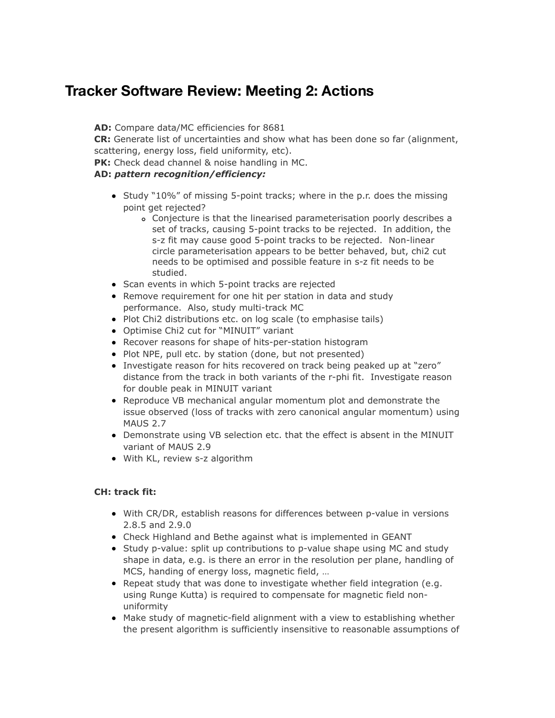## **Tracker Software Review: Meeting 2: Actions**

**AD:** Compare data/MC efficiencies for 8681

**CR:** Generate list of uncertainties and show what has been done so far (alignment, scattering, energy loss, field uniformity, etc).

**PK:** Check dead channel & noise handling in MC.

## **AD:** *pattern recognition/efficiency:*

- Study "10%" of missing 5-point tracks; where in the p.r. does the missing point get rejected?
	- Conjecture is that the linearised parameterisation poorly describes a set of tracks, causing 5-point tracks to be rejected. In addition, the s-z fit may cause good 5-point tracks to be rejected. Non-linear circle parameterisation appears to be better behaved, but, chi2 cut needs to be optimised and possible feature in s-z fit needs to be studied.
- Scan events in which 5-point tracks are rejected
- Remove requirement for one hit per station in data and study performance. Also, study multi-track MC
- Plot Chi2 distributions etc. on log scale (to emphasise tails)
- Optimise Chi2 cut for "MINUIT" variant
- Recover reasons for shape of hits-per-station histogram
- Plot NPE, pull etc. by station (done, but not presented)
- Investigate reason for hits recovered on track being peaked up at "zero" distance from the track in both variants of the r-phi fit. Investigate reason for double peak in MINUIT variant
- Reproduce VB mechanical angular momentum plot and demonstrate the issue observed (loss of tracks with zero canonical angular momentum) using MAUS 2.7
- Demonstrate using VB selection etc. that the effect is absent in the MINUIT variant of MAUS 2.9
- With KL, review s-z algorithm

## **CH: track fit:**

- With CR/DR, establish reasons for differences between p-value in versions 2.8.5 and 2.9.0
- Check Highland and Bethe against what is implemented in GEANT
- Study p-value: split up contributions to p-value shape using MC and study shape in data, e.g. is there an error in the resolution per plane, handling of MCS, handing of energy loss, magnetic field, …
- Repeat study that was done to investigate whether field integration (e.g. using Runge Kutta) is required to compensate for magnetic field nonuniformity
- Make study of magnetic-field alignment with a view to establishing whether the present algorithm is sufficiently insensitive to reasonable assumptions of